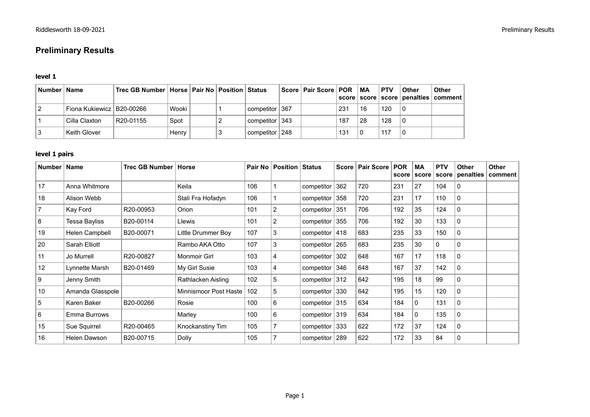# **Preliminary Results**

#### **level 1**

| Number   Name               | Trec GB Number   Horse   Pair No   Position   Status |       |  |                    | Score   Pair Score   POR |     | <b>MA</b> | <b>PTV</b> | <b>Other</b> | <b>Other</b><br>score   score   score   penalties   comment |
|-----------------------------|------------------------------------------------------|-------|--|--------------------|--------------------------|-----|-----------|------------|--------------|-------------------------------------------------------------|
| Fiona Kukiewicz   B20-00266 |                                                      | Wooki |  | competitor   367 b |                          | 231 | 16        | 120        |              |                                                             |
| Cilla Claxton               | R20-01155                                            | Spot  |  | competitor   343   |                          | 187 | 28        | 128        |              |                                                             |
| Keith Glover                |                                                      | Henry |  | competitor   248   |                          | 131 |           | 117        |              |                                                             |

### **level 1 pairs**

| Number   Name |                      | Trec GB Number   Horse |                       |     | Pair No   Position | <b>Status</b>     |     | Score   Pair Score | <b>POR</b><br>score | МA<br>score | <b>PTV</b><br>score | <b>Other</b><br>penalties | Other<br>comment |
|---------------|----------------------|------------------------|-----------------------|-----|--------------------|-------------------|-----|--------------------|---------------------|-------------|---------------------|---------------------------|------------------|
| 17            | Anna Whitmore        |                        | Keila                 | 106 |                    | competitor        | 362 | 720                | 231                 | 27          | 104                 | 0                         |                  |
| 18            | Alison Webb          |                        | Stali Fra Hofadyn     | 106 |                    | competitor 358    |     | 720                | 231                 | 17          | 110                 | $\mathbf{0}$              |                  |
|               | Kay Ford             | R20-00953              | Orion                 | 101 | $\overline{2}$     | competitor 351    |     | 706                | 192                 | 35          | 124                 | 0                         |                  |
| 8             | <b>Tessa Bayliss</b> | B20-00114              | Llewis                | 101 | $\overline{2}$     | competitor 355    |     | 706                | 192                 | 30          | 133                 | 0                         |                  |
| 19            | Helen Campbell       | B20-00071              | Little Drummer Boy    | 107 | 3                  | competitor $ 418$ |     | 683                | 235                 | 33          | 150                 | 0                         |                  |
| 20            | Sarah Elliott        |                        | Rambo AKA Otto        | 107 | 3                  | competitor $265$  |     | 683                | 235                 | 30          | 0                   | $\mathbf{0}$              |                  |
| 11            | Jo Murrell           | R20-00827              | Monmoir Girl          | 103 | 4                  | competitor 302    |     | 648                | 167                 | 17          | 118                 | $\mathbf{0}$              |                  |
| 12            | Lynnette Marsh       | B20-01469              | My Girl Susie         | 103 | 4                  | competitor 346    |     | 648                | 167                 | 37          | 142                 | 0                         |                  |
| 9             | Jenny Smith          |                        | Rathlacken Aisling    | 102 | 5                  | competitor $312$  |     | 642                | 195                 | 18          | 99                  | $\mathbf{0}$              |                  |
| 10            | Amanda Glasspole     |                        | Minnismoor Post Haste | 102 | 5                  | competitor 330    |     | 642                | 195                 | 15          | 120                 | 0                         |                  |
| 5             | Karen Baker          | B20-00266              | Rosie                 | 100 | 6                  | competitor $315$  |     | 634                | 184                 | 0           | 131                 | 0                         |                  |
| 6             | Emma Burrows         |                        | Marley                | 100 | 6                  | competitor $ 319$ |     | 634                | 184                 | 0           | 135                 | $\mathbf{0}$              |                  |
| 15            | Sue Squirrel         | R20-00465              | Knockanstiny Tim      | 105 |                    | competitor $ 333$ |     | 622                | 172                 | 37          | 124                 | 0                         |                  |
| 16            | Helen Dawson         | B20-00715              | Dolly                 | 105 |                    | competitor 289    |     | 622                | 172                 | 33          | 84                  | 0                         |                  |